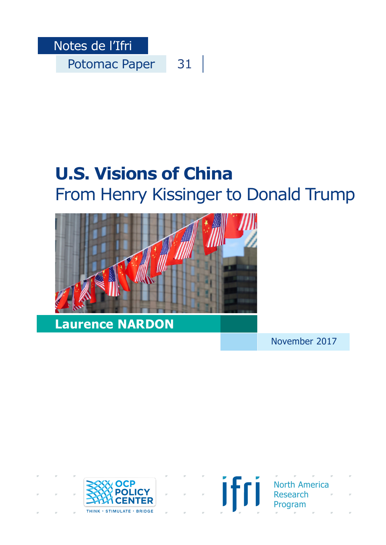

# **U.S. Visions of China**  From Henry Kissinger to Donald Trump



November 2017





North America Research Program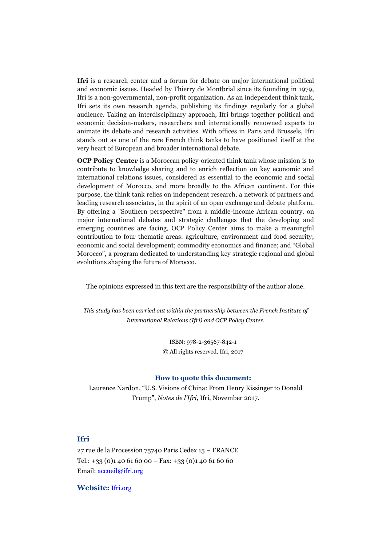Ifri is a research center and a forum for debate on major international political and economic issues. Headed by Thierry de Montbrial since its founding in 1979, Ifri is a non-governmental, non-profit organization. As an independent think tank, Ifri sets its own research agenda, publishing its findings regularly for a global audience. Taking an interdisciplinary approach, Ifri brings together political and economic decision-makers, researchers and internationally renowned experts to animate its debate and research activities. With offices in Paris and Brussels, Ifri stands out as one of the rare French think tanks to have positioned itself at the very heart of European and broader international debate.

**OCP Policy Center** is a Moroccan policy-oriented think tank whose mission is to contribute to knowledge sharing and to enrich reflection on key economic and international relations issues, considered as essential to the economic and social development of Morocco, and more broadly to the African continent. For this purpose, the think tank relies on independent research, a network of partners and leading research associates, in the spirit of an open exchange and debate platform. By offering a "Southern perspective" from a middle-income African country, on major international debates and strategic challenges that the developing and emerging countries are facing, OCP Policy Center aims to make a meaningful contribution to four thematic areas: agriculture, environment and food security; economic and social development; commodity economics and finance; and "Global Morocco", a program dedicated to understanding key strategic regional and global evolutions shaping the future of Morocco.

The opinions expressed in this text are the responsibility of the author alone.

*This study has been carried out within the partnership between the French Institute of International Relations (Ifri) and OCP Policy Center.*

> ISBN: 978-2-36567-842-1 © All rights reserved, Ifri, 2017

#### **How to quote this document:**

Laurence Nardon, "U.S. Visions of China: From Henry Kissinger to Donald Trump", *Notes de l'Ifri*, Ifri, November 2017.

#### **Ifri**

27 rue de la Procession 75740 Paris Cedex 15 – FRANCE Tel.:  $+33$  (0)1 40 61 60 00 – Fax:  $+33$  (0)1 40 61 60 60 Email: [accueil@ifri.org](mailto:accueil@ifri.org)

**Website:** [Ifri.org](https://www.ifri.org/)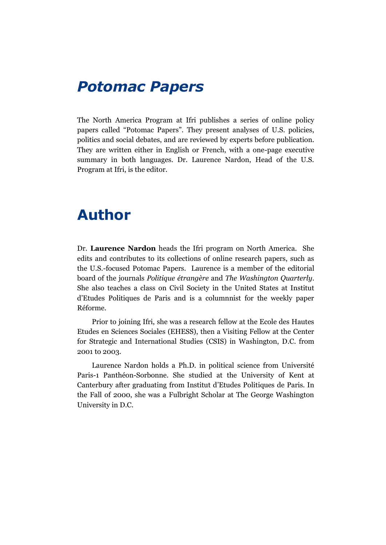### *Potomac Papers*

The North America Program at Ifri publishes a series of online policy papers called "Potomac Papers". They present analyses of U.S. policies, politics and social debates, and are reviewed by experts before publication. They are written either in English or French, with a one-page executive summary in both languages. Dr. Laurence Nardon, Head of the U.S. Program at Ifri, is the editor.

### **Author**

Dr. **Laurence Nardon** heads the Ifri program on North America. She edits and contributes to its collections of online research papers, such as the U.S.-focused Potomac Papers. Laurence is a member of the editorial board of the journals *Politique étrangère* and *The Washington Quarterly*. She also teaches a class on Civil Society in the United States at Institut d'Etudes Politiques de Paris and is a columnnist for the weekly paper Réforme.

Prior to joining Ifri, she was a research fellow at the Ecole des Hautes Etudes en Sciences Sociales (EHESS), then a Visiting Fellow at the Center for Strategic and International Studies (CSIS) in Washington, D.C. from 2001 to 2003.

Laurence Nardon holds a Ph.D. in political science from Université Paris-1 Panthéon-Sorbonne. She studied at the University of Kent at Canterbury after graduating from Institut d'Etudes Politiques de Paris. In the Fall of 2000, she was a Fulbright Scholar at The George Washington University in D.C.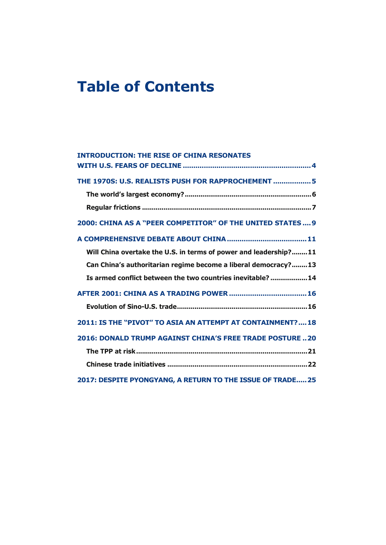## **Table of Contents**

| <b>INTRODUCTION: THE RISE OF CHINA RESONATES</b>                 |
|------------------------------------------------------------------|
|                                                                  |
| THE 1970S: U.S. REALISTS PUSH FOR RAPPROCHEMENT  5               |
|                                                                  |
|                                                                  |
| 2000: CHINA AS A "PEER COMPETITOR" OF THE UNITED STATES 9        |
|                                                                  |
| Will China overtake the U.S. in terms of power and leadership?11 |
| Can China's authoritarian regime become a liberal democracy?13   |
| Is armed conflict between the two countries inevitable?  14      |
|                                                                  |
|                                                                  |
| 2011: IS THE "PIVOT" TO ASIA AN ATTEMPT AT CONTAINMENT?18        |
| 2016: DONALD TRUMP AGAINST CHINA'S FREE TRADE POSTURE  20        |
|                                                                  |
|                                                                  |
| 2017: DESPITE PYONGYANG, A RETURN TO THE ISSUE OF TRADE 25       |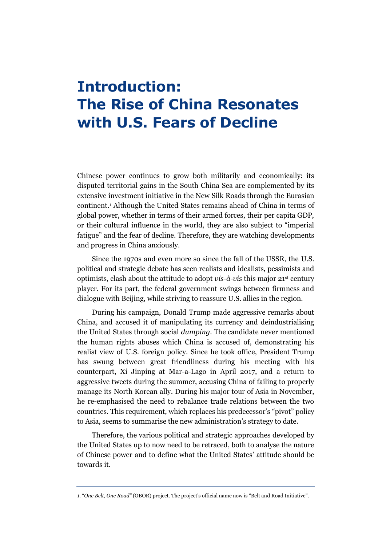## <span id="page-4-0"></span>**Introduction: The Rise of China Resonates with U.S. Fears of Decline**

Chinese power continues to grow both militarily and economically: its disputed territorial gains in the South China Sea are complemented by its extensive investment initiative in the New Silk Roads through the Eurasian continent. <sup>1</sup> Although the United States remains ahead of China in terms of global power, whether in terms of their armed forces, their per capita GDP, or their cultural influence in the world, they are also subject to "imperial fatigue" and the fear of decline. Therefore, they are watching developments and progress in China anxiously.

Since the 1970s and even more so since the fall of the USSR, the U.S. political and strategic debate has seen realists and idealists, pessimists and optimists, clash about the attitude to adopt *vis-à-vis* this major 21st century player. For its part, the federal government swings between firmness and dialogue with Beijing, while striving to reassure U.S. allies in the region.

During his campaign, Donald Trump made aggressive remarks about China, and accused it of manipulating its currency and deindustrialising the United States through social *dumping*. The candidate never mentioned the human rights abuses which China is accused of, demonstrating his realist view of U.S. foreign policy. Since he took office, President Trump has swung between great friendliness during his meeting with his counterpart, Xi Jinping at Mar-a-Lago in April 2017, and a return to aggressive tweets during the summer, accusing China of failing to properly manage its North Korean ally. During his major tour of Asia in November, he re-emphasised the need to rebalance trade relations between the two countries. This requirement, which replaces his predecessor's "pivot" policy to Asia, seems to summarise the new administration's strategy to date.

Therefore, the various political and strategic approaches developed by the United States up to now need to be retraced, both to analyse the nature of Chinese power and to define what the United States' attitude should be towards it.

<sup>1</sup>. "*One Belt, One Road"* (OBOR) project. The project's official name now is "Belt and Road Initiative".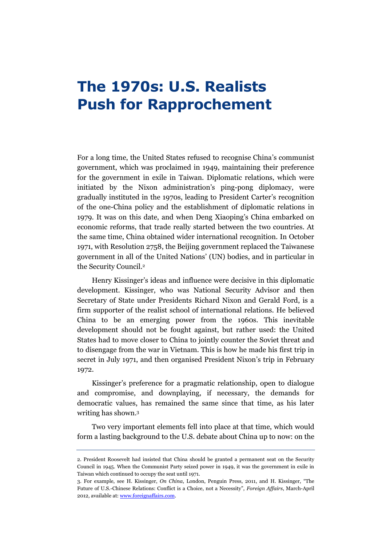## <span id="page-5-0"></span>**The 1970s: U.S. Realists Push for Rapprochement**

For a long time, the United States refused to recognise China's communist government, which was proclaimed in 1949, maintaining their preference for the government in exile in Taiwan. Diplomatic relations, which were initiated by the Nixon administration's ping-pong diplomacy, were gradually instituted in the 1970s, leading to President Carter's recognition of the one-China policy and the establishment of diplomatic relations in 1979. It was on this date, and when Deng Xiaoping's China embarked on economic reforms, that trade really started between the two countries. At the same time, China obtained wider international recognition. In October 1971, with Resolution 2758, the Beijing government replaced the Taiwanese government in all of the United Nations' (UN) bodies, and in particular in the Security Council. 2

Henry Kissinger's ideas and influence were decisive in this diplomatic development. Kissinger, who was National Security Advisor and then Secretary of State under Presidents Richard Nixon and Gerald Ford, is a firm supporter of the realist school of international relations. He believed China to be an emerging power from the 1960s. This inevitable development should not be fought against, but rather used: the United States had to move closer to China to jointly counter the Soviet threat and to disengage from the war in Vietnam. This is how he made his first trip in secret in July 1971, and then organised President Nixon's trip in February 1972.

Kissinger's preference for a pragmatic relationship, open to dialogue and compromise, and downplaying, if necessary, the demands for democratic values, has remained the same since that time, as his later writing has shown. 3

Two very important elements fell into place at that time, which would form a lasting background to the U.S. debate about China up to now: on the

<sup>2.</sup> President Roosevelt had insisted that China should be granted a permanent seat on the Security Council in 1945. When the Communist Party seized power in 1949, it was the government in exile in Taiwan which continued to occupy the seat until 1971.

<sup>3.</sup> For example, see H. Kissinger, *On China*, London, Penguin Press, 2011, and H. Kissinger, "The Future of U.S.-Chinese Relations: Conflict is a Choice, not a Necessity", *Foreign Affairs*, March-April 2012, available at[: www.foreignaffairs.com.](https://www.foreignaffairs.com/articles/china/2012-03-01/future-us-chinese-relations)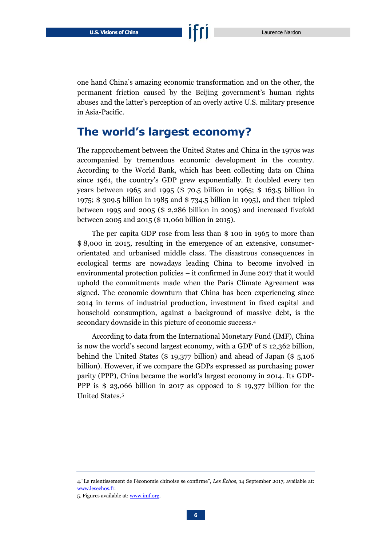one hand China's amazing economic transformation and on the other, the permanent friction caused by the Beijing government's human rights abuses and the latter's perception of an overly active U.S. military presence in Asia-Pacific.

#### <span id="page-6-0"></span>**The world's largest economy?**

The rapprochement between the United States and China in the 1970s was accompanied by tremendous economic development in the country. According to the World Bank, which has been collecting data on China since 1961, the country's GDP grew exponentially. It doubled every ten years between 1965 and 1995 (\$ 70.5 billion in 1965; \$ 163.5 billion in 1975; \$ 309.5 billion in 1985 and \$ 734.5 billion in 1995), and then tripled between 1995 and 2005 (\$ 2,286 billion in 2005) and increased fivefold between 2005 and 2015 (\$ 11,060 billion in 2015).

The per capita GDP rose from less than \$ 100 in 1965 to more than \$ 8,000 in 2015, resulting in the emergence of an extensive, consumerorientated and urbanised middle class. The disastrous consequences in ecological terms are nowadays leading China to become involved in environmental protection policies – it confirmed in June 2017 that it would uphold the commitments made when the Paris Climate Agreement was signed. The economic downturn that China has been experiencing since 2014 in terms of industrial production, investment in fixed capital and household consumption, against a background of massive debt, is the secondary downside in this picture of economic success. 4

According to data from the International Monetary Fund (IMF), China is now the world's second largest economy, with a GDP of \$ 12,362 billion, behind the United States (\$ 19,377 billion) and ahead of Japan (\$ 5,106 billion). However, if we compare the GDPs expressed as purchasing power parity (PPP), China became the world's largest economy in 2014. Its GDP-PPP is  $$ 23,066$  billion in 2017 as opposed to  $$ 19,377$  billion for the United States. 5

<sup>4</sup>."Le ralentissement de l'économie chinoise se confirme", *Les Échos*, 14 September 2017, available at: [www.lesechos.fr.](https://www.lesechos.fr/monde/chine/030562834706-le-ralentissement-de-leconomie-chinoise-se-confirme-2114234.php)

<sup>5.</sup> Figures available at[: www.imf.org.](http://www.imf.org/external/datamapper/PPPGDP@WEO/OEMDC/ADVEC/WEOWORLD)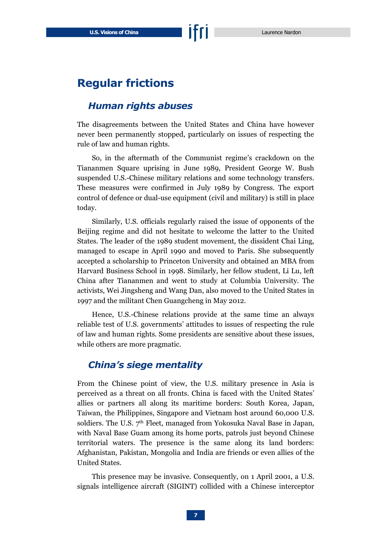#### <span id="page-7-0"></span>**Regular frictions**

#### *Human rights abuses*

The disagreements between the United States and China have however never been permanently stopped, particularly on issues of respecting the rule of law and human rights.

So, in the aftermath of the Communist regime's crackdown on the Tiananmen Square uprising in June 1989, President George W. Bush suspended U.S.-Chinese military relations and some technology transfers. These measures were confirmed in July 1989 by Congress. The export control of defence or dual-use equipment (civil and military) is still in place today.

Similarly, U.S. officials regularly raised the issue of opponents of the Beijing regime and did not hesitate to welcome the latter to the United States. The leader of the 1989 student movement, the dissident Chai Ling, managed to escape in April 1990 and moved to Paris. She subsequently accepted a scholarship to Princeton University and obtained an MBA from Harvard Business School in 1998. Similarly, her fellow student, Li Lu, left China after Tiananmen and went to study at Columbia University. The activists, Wei Jingsheng and Wang Dan, also moved to the United States in 1997 and the militant Chen Guangcheng in May 2012.

Hence, U.S.-Chinese relations provide at the same time an always reliable test of U.S. governments' attitudes to issues of respecting the rule of law and human rights. Some presidents are sensitive about these issues, while others are more pragmatic.

#### *China's siege mentality*

From the Chinese point of view, the U.S. military presence in Asia is perceived as a threat on all fronts. China is faced with the United States' allies or partners all along its maritime borders: South Korea, Japan, Taiwan, the Philippines, Singapore and Vietnam host around 60,000 U.S. soldiers. The U.S. 7<sup>th</sup> Fleet, managed from Yokosuka Naval Base in Japan, with Naval Base Guam among its home ports, patrols just beyond Chinese territorial waters. The presence is the same along its land borders: Afghanistan, Pakistan, Mongolia and India are friends or even allies of the United States.

This presence may be invasive. Consequently, on 1 April 2001, a U.S. signals intelligence aircraft (SIGINT) collided with a Chinese interceptor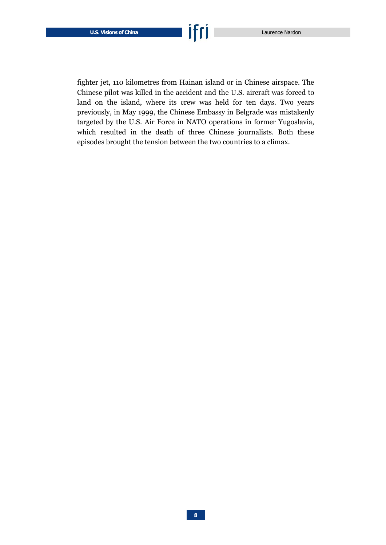fighter jet, 110 kilometres from Hainan island or in Chinese airspace. The Chinese pilot was killed in the accident and the U.S. aircraft was forced to land on the island, where its crew was held for ten days. Two years previously, in May 1999, the Chinese Embassy in Belgrade was mistakenly targeted by the U.S. Air Force in NATO operations in former Yugoslavia, which resulted in the death of three Chinese journalists. Both these episodes brought the tension between the two countries to a climax.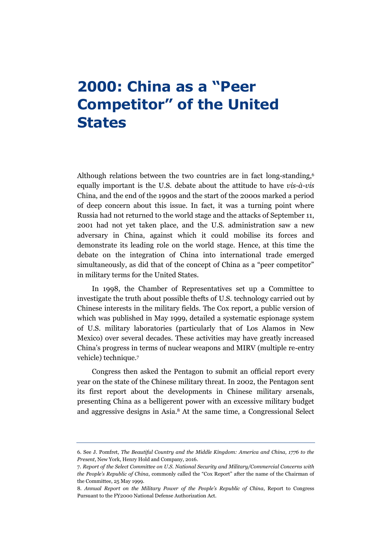## <span id="page-9-0"></span>**2000: China as a "Peer Competitor" of the United States**

Although relations between the two countries are in fact long-standing, 6 equally important is the U.S. debate about the attitude to have *vis-à-vis* China, and the end of the 1990s and the start of the 2000s marked a period of deep concern about this issue. In fact, it was a turning point where Russia had not returned to the world stage and the attacks of September 11, 2001 had not yet taken place, and the U.S. administration saw a new adversary in China, against which it could mobilise its forces and demonstrate its leading role on the world stage. Hence, at this time the debate on the integration of China into international trade emerged simultaneously, as did that of the concept of China as a "peer competitor" in military terms for the United States.

In 1998, the Chamber of Representatives set up a Committee to investigate the truth about possible thefts of U.S. technology carried out by Chinese interests in the military fields. The Cox report, a public version of which was published in May 1999, detailed a systematic espionage system of U.S. military laboratories (particularly that of Los Alamos in New Mexico) over several decades. These activities may have greatly increased China's progress in terms of nuclear weapons and MIRV (multiple re-entry vehicle) technique. 7

Congress then asked the Pentagon to submit an official report every year on the state of the Chinese military threat. In 2002, the Pentagon sent its first report about the developments in Chinese military arsenals, presenting China as a belligerent power with an excessive military budget and aggressive designs in Asia. <sup>8</sup> At the same time, a Congressional Select

<sup>6.</sup> See J. Pomfret, *The Beautiful Country and the Middle Kingdom: America and China, 1776 to the Present*, New York, Henry Hold and Company, 2016.

<sup>7.</sup> *Report of the Select Committee on U.S. National Security and Military/Commercial Concerns with the People's Republic of China*, commonly called the "Cox Report" after the name of the Chairman of the Committee, 25 May 1999.

<sup>8.</sup> *Annual Report on the Military Power of the People's Republic of China*, Report to Congress Pursuant to the FY2000 National Defense Authorization Act.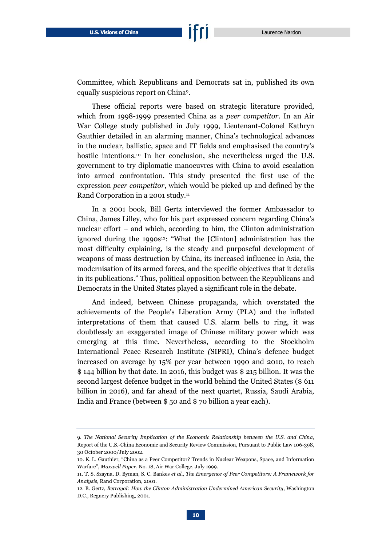Committee, which Republicans and Democrats sat in, published its own equally suspicious report on China<sup>9</sup> .

These official reports were based on strategic literature provided, which from 1998-1999 presented China as a *peer competitor*. In an Air War College study published in July 1999, Lieutenant-Colonel Kathryn Gauthier detailed in an alarming manner, China's technological advances in the nuclear, ballistic, space and IT fields and emphasised the country's hostile intentions. <sup>10</sup> In her conclusion, she nevertheless urged the U.S. government to try diplomatic manoeuvres with China to avoid escalation into armed confrontation. This study presented the first use of the expression *peer competitor*, which would be picked up and defined by the Rand Corporation in a 2001 study.<sup>11</sup>

In a 2001 book, Bill Gertz interviewed the former Ambassador to China, James Lilley, who for his part expressed concern regarding China's nuclear effort – and which, according to him, the Clinton administration ignored during the 1990s<sup>12</sup>: "What the [Clinton] administration has the most difficulty explaining, is the steady and purposeful development of weapons of mass destruction by China, its increased influence in Asia, the modernisation of its armed forces, and the specific objectives that it details in its publications." Thus, political opposition between the Republicans and Democrats in the United States played a significant role in the debate.

And indeed, between Chinese propaganda, which overstated the achievements of the People's Liberation Army (PLA) and the inflated interpretations of them that caused U.S. alarm bells to ring, it was doubtlessly an exaggerated image of Chinese military power which was emerging at this time. Nevertheless, according to the Stockholm International Peace Research Institute *(*SIPRI*)*, China's defence budget increased on average by 15% per year between 1990 and 2010, to reach \$ 144 billion by that date. In 2016, this budget was \$ 215 billion. It was the second largest defence budget in the world behind the United States (\$ 611 billion in 2016), and far ahead of the next quartet, Russia, Saudi Arabia, India and France (between \$ 50 and \$ 70 billion a year each).

<sup>9.</sup> *The National Security Implication of the Economic Relationship between the U.S. and China*, Report of the U.S.-China Economic and Security Review Commission, Pursuant to Public Law 106-398, 30 October 2000/July 2002.

<sup>10.</sup> K. L. Gauthier, "China as a Peer Competitor? Trends in Nuclear Weapons, Space, and Information Warfare", *Maxwell Paper*, No. 18, Air War College, July 1999.

<sup>11.</sup> T. S. Szayna, D. Byman, S. C. Bankes *et al.*, *The Emergence of Peer Competitors: A Framework for Analysis*, Rand Corporation, 2001.

<sup>12.</sup> B. Gertz, *Betrayal: How the Clinton Administration Undermined American Security*, Washington D.C., Regnery Publishing, 2001.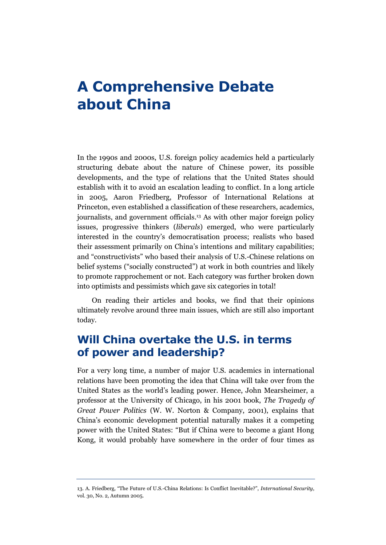### <span id="page-11-0"></span>**A Comprehensive Debate about China**

In the 1990s and 2000s, U.S. foreign policy academics held a particularly structuring debate about the nature of Chinese power, its possible developments, and the type of relations that the United States should establish with it to avoid an escalation leading to conflict. In a long article in 2005, Aaron Friedberg, Professor of International Relations at Princeton, even established a classification of these researchers, academics, journalists, and government officials. <sup>13</sup> As with other major foreign policy issues, progressive thinkers (*liberals*) emerged, who were particularly interested in the country's democratisation process; realists who based their assessment primarily on China's intentions and military capabilities; and "constructivists" who based their analysis of U.S.-Chinese relations on belief systems ("socially constructed") at work in both countries and likely to promote rapprochement or not. Each category was further broken down into optimists and pessimists which gave six categories in total!

On reading their articles and books, we find that their opinions ultimately revolve around three main issues, which are still also important today.

#### <span id="page-11-1"></span>**Will China overtake the U.S. in terms of power and leadership?**

For a very long time, a number of major U.S. academics in international relations have been promoting the idea that China will take over from the United States as the world's leading power. Hence, John Mearsheimer, a professor at the University of Chicago, in his 2001 book, *The Tragedy of Great Power Politics* (W. W. Norton & Company, 2001), explains that China's economic development potential naturally makes it a competing power with the United States: "But if China were to become a giant Hong Kong, it would probably have somewhere in the order of four times as

<sup>13</sup>. A. Friedberg, "The Future of U.S.-China Relations: Is Conflict Inevitable?", *International Security*, vol. 30, No. 2, Autumn 2005.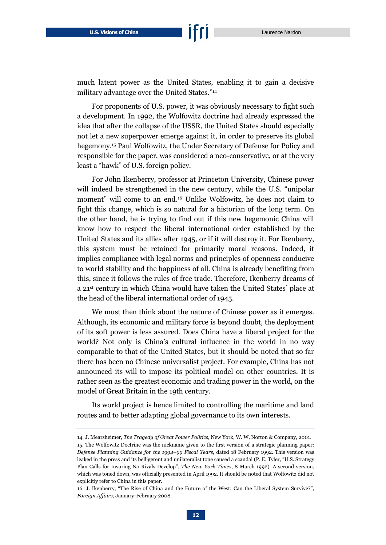much latent power as the United States, enabling it to gain a decisive military advantage over the United States." 14

For proponents of U.S. power, it was obviously necessary to fight such a development. In 1992, the Wolfowitz doctrine had already expressed the idea that after the collapse of the USSR, the United States should especially not let a new superpower emerge against it, in order to preserve its global hegemony. <sup>15</sup> Paul Wolfowitz, the Under Secretary of Defense for Policy and responsible for the paper, was considered a neo-conservative, or at the very least a "hawk" of U.S. foreign policy.

For John Ikenberry, professor at Princeton University, Chinese power will indeed be strengthened in the new century, while the U.S. "unipolar moment" will come to an end. <sup>16</sup> Unlike Wolfowitz, he does not claim to fight this change, which is so natural for a historian of the long term. On the other hand, he is trying to find out if this new hegemonic China will know how to respect the liberal international order established by the United States and its allies after 1945, or if it will destroy it. For Ikenberry, this system must be retained for primarily moral reasons. Indeed, it implies compliance with legal norms and principles of openness conducive to world stability and the happiness of all. China is already benefiting from this, since it follows the rules of free trade. Therefore, Ikenberry dreams of a 21st century in which China would have taken the United States' place at the head of the liberal international order of 1945.

We must then think about the nature of Chinese power as it emerges. Although, its economic and military force is beyond doubt, the deployment of its soft power is less assured. Does China have a liberal project for the world? Not only is China's cultural influence in the world in no way comparable to that of the United States, but it should be noted that so far there has been no Chinese universalist project. For example, China has not announced its will to impose its political model on other countries. It is rather seen as the greatest economic and trading power in the world, on the model of Great Britain in the 19th century.

Its world project is hence limited to controlling the maritime and land routes and to better adapting global governance to its own interests.

<sup>14.</sup> J. Mearsheimer, *The Tragedy of Great Power Politics*, New York, W. W. Norton & Company, 2001. 15. The Wolfowitz Doctrine was the nickname given to the first version of a strategic planning paper: *Defense Planning Guidance for the 1994–99 Fiscal Years*, dated 18 February 1992. This version was leaked in the press and its belligerent and unilateralist tone caused a scandal (P. E. Tyler, "U.S. Strategy Plan Calls for Insuring No Rivals Develop", *The New York Times*, 8 March 1992). A second version, which was toned down, was officially presented in April 1992. It should be noted that Wolfowitz did not explicitly refer to China in this paper.

<sup>16</sup>. J. Ikenberry, "The Rise of China and the Future of the West: Can the Liberal System Survive?", *Foreign Affairs*, January-February 2008.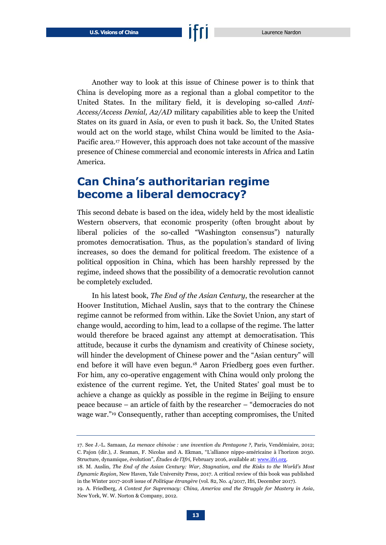Another way to look at this issue of Chinese power is to think that China is developing more as a regional than a global competitor to the United States. In the military field, it is developing so-called *Anti-Access/Access Denial, A2/AD* military capabilities able to keep the United States on its guard in Asia, or even to push it back. So, the United States would act on the world stage, whilst China would be limited to the Asia-Pacific area. <sup>17</sup> However, this approach does not take account of the massive presence of Chinese commercial and economic interests in Africa and Latin America.

#### <span id="page-13-0"></span>**Can China's authoritarian regime become a liberal democracy?**

This second debate is based on the idea, widely held by the most idealistic Western observers, that economic prosperity (often brought about by liberal policies of the so-called "Washington consensus") naturally promotes democratisation. Thus, as the population's standard of living increases, so does the demand for political freedom. The existence of a political opposition in China, which has been harshly repressed by the regime, indeed shows that the possibility of a democratic revolution cannot be completely excluded.

In his latest book, *The End of the Asian Century*, the researcher at the Hoover Institution, Michael Auslin, says that to the contrary the Chinese regime cannot be reformed from within. Like the Soviet Union, any start of change would, according to him, lead to a collapse of the regime. The latter would therefore be braced against any attempt at democratisation. This attitude, because it curbs the dynamism and creativity of Chinese society, will hinder the development of Chinese power and the "Asian century" will end before it will have even begun. <sup>18</sup> Aaron Friedberg goes even further. For him, any co-operative engagement with China would only prolong the existence of the current regime. Yet, the United States' goal must be to achieve a change as quickly as possible in the regime in Beijing to ensure peace because – an article of faith by the researcher – "democracies do not wage war." <sup>19</sup> Consequently, rather than accepting compromises, the United

<sup>17.</sup> See J.-L. Samaan, *La menace chinoise : une invention du Pentagone ?*, Paris, Vendémiaire, 2012; C. Pajon (dir.), J. Seaman, F. Nicolas and A. Ekman, "L'alliance nippo-américaine à l'horizon 2030. Structure, dynamique, évolution", *Études de l'Ifri*, February 2016, available at[: www.ifri.org.](https://www.ifri.org/sites/default/files/atoms/files/lalliance_nippo-americaine_a_lhorizon_2030_0.pdf) 

<sup>18.</sup> M. Auslin, *The End of the Asian Century: War, Stagnation, and the Risks to the World's Most Dynamic Region*, New Haven, Yale University Press, 2017. A critical review of this book was published in the Winter 2017-2018 issue of *Politique étrangère* (vol. 82, No. 4/2017, Ifri, December 2017).

<sup>19.</sup> A. Friedberg, *A Contest for Supremacy: China, America and the Struggle for Mastery in Asia*, New York, W. W. Norton & Company, 2012.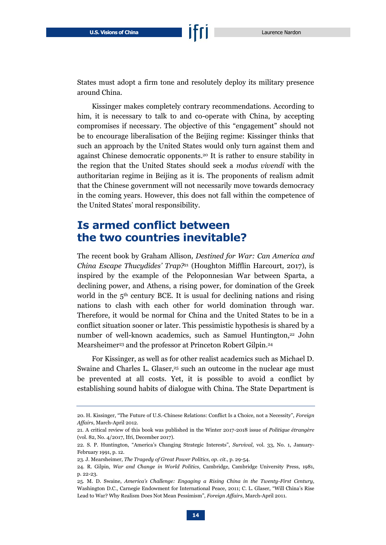States must adopt a firm tone and resolutely deploy its military presence around China.

Kissinger makes completely contrary recommendations. According to him, it is necessary to talk to and co-operate with China, by accepting compromises if necessary. The objective of this "engagement" should not be to encourage liberalisation of the Beijing regime: Kissinger thinks that such an approach by the United States would only turn against them and against Chinese democratic opponents. <sup>20</sup> It is rather to ensure stability in the region that the United States should seek a *modus vivendi* with the authoritarian regime in Beijing as it is. The proponents of realism admit that the Chinese government will not necessarily move towards democracy in the coming years. However, this does not fall within the competence of the United States' moral responsibility.

#### <span id="page-14-0"></span>**Is armed conflict between the two countries inevitable?**

The recent book by Graham Allison*, Destined for War: Can America and China Escape Thucydides' Trap?*<sup>21</sup> (Houghton Mifflin Harcourt, 2017), is inspired by the example of the Peloponnesian War between Sparta, a declining power, and Athens, a rising power, for domination of the Greek world in the  $5<sup>th</sup>$  century BCE. It is usual for declining nations and rising nations to clash with each other for world domination through war. Therefore, it would be normal for China and the United States to be in a conflict situation sooner or later. This pessimistic hypothesis is shared by a number of well-known academics, such as Samuel Huntington, <sup>22</sup> John Mearsheimer<sup>23</sup> and the professor at Princeton Robert Gilpin.<sup>24</sup>

For Kissinger, as well as for other realist academics such as Michael D. Swaine and Charles L. Glaser, <sup>25</sup> such an outcome in the nuclear age must be prevented at all costs. Yet, it is possible to avoid a conflict by establishing sound habits of dialogue with China. The State Department is

<sup>20</sup>. H. Kissinger, "The Future of U.S.-Chinese Relations: Conflict Is a Choice, not a Necessity", *Foreign Affairs*, March-April 2012.

<sup>21.</sup> A critical review of this book was published in the Winter 2017-2018 issue of *Politique étrangère* (vol. 82, No. 4/2017, Ifri, December 2017).

<sup>22.</sup> S. P. Huntington, "America's Changing Strategic Interests", *Survival*, vol. 33, No. 1, January-February 1991, p. 12.

<sup>23.</sup> J. Mearsheimer, *The Tragedy of Great Power Politics, op. cit.*, p. 29-54.

<sup>24.</sup> R. Gilpin, *War and Change in World Politics*, Cambridge, Cambridge University Press, 1981, p. 22-23.

<sup>25.</sup> M. D. Swaine, *America's Challenge: Engaging a Rising China in the Twenty-First Century*, Washington D.C., Carnegie Endowment for International Peace, 2011; C. L. Glaser, "Will China's Rise Lead to War? Why Realism Does Not Mean Pessimism", *Foreign Affairs*, March-April 2011.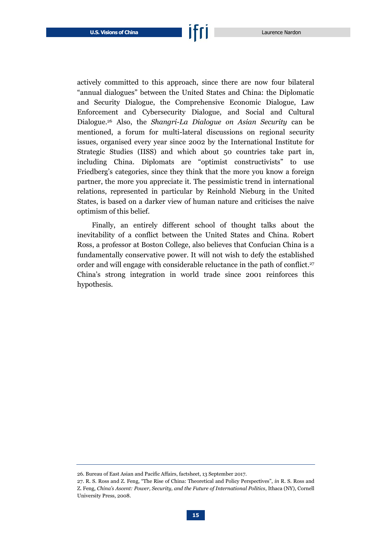actively committed to this approach, since there are now four bilateral "annual dialogues" between the United States and China: the Diplomatic and Security Dialogue, the Comprehensive Economic Dialogue, Law Enforcement and Cybersecurity Dialogue, and Social and Cultural Dialogue. <sup>26</sup> Also, the *Shangri-La Dialogue on Asian Security* can be mentioned, a forum for multi-lateral discussions on regional security issues, organised every year since 2002 by the International Institute for Strategic Studies (IISS) and which about 50 countries take part in, including China. Diplomats are "optimist constructivists" to use Friedberg's categories, since they think that the more you know a foreign partner, the more you appreciate it. The pessimistic trend in international relations, represented in particular by Reinhold Nieburg in the United States, is based on a darker view of human nature and criticises the naive optimism of this belief.

Finally, an entirely different school of thought talks about the inevitability of a conflict between the United States and China. Robert Ross, a professor at Boston College, also believes that Confucian China is a fundamentally conservative power. It will not wish to defy the established order and will engage with considerable reluctance in the path of conflict. 27 China's strong integration in world trade since 2001 reinforces this hypothesis.

<sup>26.</sup> Bureau of East Asian and Pacific Affairs, factsheet, 13 September 2017.

<sup>27</sup>. R. S. Ross and Z. Feng, "The Rise of China: Theoretical and Policy Perspectives", *in* R. S. Ross and Z. Feng, *China's Ascent: Power, Security, and the Future of International Politics*, Ithaca (NY), Cornell University Press, 2008.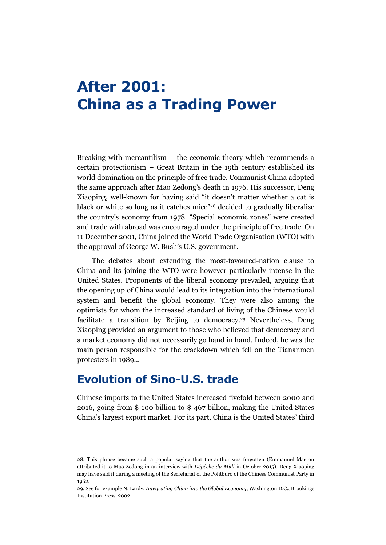## <span id="page-16-0"></span>**After 2001: China as a Trading Power**

Breaking with mercantilism – the economic theory which recommends a certain protectionism – Great Britain in the 19th century established its world domination on the principle of free trade. Communist China adopted the same approach after Mao Zedong's death in 1976. His successor, Deng Xiaoping, well-known for having said "it doesn't matter whether a cat is black or white so long as it catches mice" <sup>28</sup> decided to gradually liberalise the country's economy from 1978. "Special economic zones" were created and trade with abroad was encouraged under the principle of free trade. On 11 December 2001, China joined the World Trade Organisation (WTO) with the approval of George W. Bush's U.S. government.

The debates about extending the most-favoured-nation clause to China and its joining the WTO were however particularly intense in the United States. Proponents of the liberal economy prevailed, arguing that the opening up of China would lead to its integration into the international system and benefit the global economy. They were also among the optimists for whom the increased standard of living of the Chinese would facilitate a transition by Beijing to democracy. <sup>29</sup> Nevertheless, Deng Xiaoping provided an argument to those who believed that democracy and a market economy did not necessarily go hand in hand. Indeed, he was the main person responsible for the crackdown which fell on the Tiananmen protesters in 1989...

#### <span id="page-16-1"></span>**Evolution of Sino-U.S. trade**

Chinese imports to the United States increased fivefold between 2000 and 2016, going from \$ 100 billion to \$ 467 billion, making the United States China's largest export market. For its part, China is the United States' third

<sup>28.</sup> This phrase became such a popular saying that the author was forgotten (Emmanuel Macron attributed it to Mao Zedong in an interview with *Dépêche du Midi* in October 2015). Deng Xiaoping may have said it during a meeting of the Secretariat of the Politburo of the Chinese Communist Party in 1962.

<sup>29.</sup> See for example N. Lardy, *Integrating China into the Global Economy*, Washington D.C., Brookings Institution Press, 2002.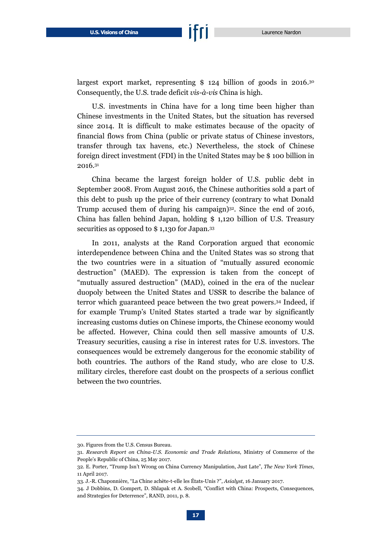largest export market, representing \$ 124 billion of goods in 2016.<sup>30</sup> Consequently, the U.S. trade deficit *vis-à-vis* China is high.

U.S. investments in China have for a long time been higher than Chinese investments in the United States, but the situation has reversed since 2014. It is difficult to make estimates because of the opacity of financial flows from China (public or private status of Chinese investors, transfer through tax havens, etc.) Nevertheless, the stock of Chinese foreign direct investment (FDI) in the United States may be \$ 100 billion in 2016. 31

China became the largest foreign holder of U.S. public debt in September 2008. From August 2016, the Chinese authorities sold a part of this debt to push up the price of their currency (contrary to what Donald Trump accused them of during his campaign) <sup>32</sup>. Since the end of 2016, China has fallen behind Japan, holding \$ 1,120 billion of U.S. Treasury securities as opposed to \$ 1,130 for Japan. 33

In 2011, analysts at the Rand Corporation argued that economic interdependence between China and the United States was so strong that the two countries were in a situation of "mutually assured economic destruction" (MAED). The expression is taken from the concept of "mutually assured destruction" (MAD), coined in the era of the nuclear duopoly between the United States and USSR to describe the balance of terror which guaranteed peace between the two great powers. <sup>34</sup> Indeed, if for example Trump's United States started a trade war by significantly increasing customs duties on Chinese imports, the Chinese economy would be affected. However, China could then sell massive amounts of U.S. Treasury securities, causing a rise in interest rates for U.S. investors. The consequences would be extremely dangerous for the economic stability of both countries. The authors of the Rand study, who are close to U.S. military circles, therefore cast doubt on the prospects of a serious conflict between the two countries.

<sup>30.</sup> Figures from the U.S. Census Bureau.

<sup>31.</sup> *Research Report on China-U.S. Economic and Trade Relations*, Ministry of Commerce of the People's Republic of China, 25 May 2017.

<sup>32</sup>. E. Porter, "Trump Isn't Wrong on China Currency Manipulation, Just Late", *The New York Times*, 11 April 2017.

<sup>33.</sup> J.-R. Chaponnière, "La Chine achète-t-elle les États-Unis ?", *Asialyst*, 16 January 2017.

<sup>34</sup>. J Dobbins, D. Gompert, D. Shlapak et A. Scobell, "Conflict with China: Prospects, Consequences, and Strategies for Deterrence", RAND, 2011, p. 8.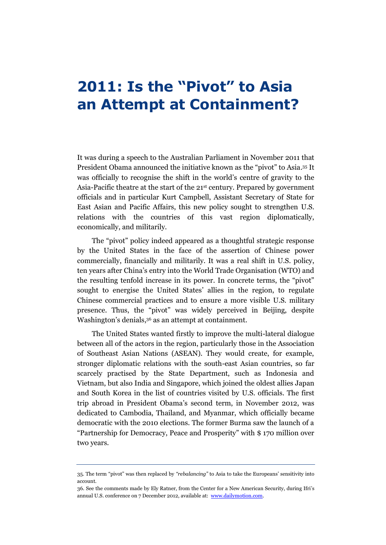## <span id="page-18-0"></span>**2011: Is the "Pivot" to Asia an Attempt at Containment?**

It was during a speech to the Australian Parliament in November 2011 that President Obama announced the initiative known as the "pivot" to Asia. <sup>35</sup> It was officially to recognise the shift in the world's centre of gravity to the Asia-Pacific theatre at the start of the 21st century. Prepared by government officials and in particular Kurt Campbell, Assistant Secretary of State for East Asian and Pacific Affairs, this new policy sought to strengthen U.S. relations with the countries of this vast region diplomatically, economically, and militarily.

The "pivot" policy indeed appeared as a thoughtful strategic response by the United States in the face of the assertion of Chinese power commercially, financially and militarily. It was a real shift in U.S. policy, ten years after China's entry into the World Trade Organisation (WTO) and the resulting tenfold increase in its power. In concrete terms, the "pivot" sought to energise the United States' allies in the region, to regulate Chinese commercial practices and to ensure a more visible U.S. military presence. Thus, the "pivot" was widely perceived in Beijing, despite Washington's denials, <sup>36</sup> as an attempt at containment.

The United States wanted firstly to improve the multi-lateral dialogue between all of the actors in the region, particularly those in the Association of Southeast Asian Nations (ASEAN). They would create, for example, stronger diplomatic relations with the south-east Asian countries, so far scarcely practised by the State Department, such as Indonesia and Vietnam, but also India and Singapore, which joined the oldest allies Japan and South Korea in the list of countries visited by U.S. officials. The first trip abroad in President Obama's second term, in November 2012, was dedicated to Cambodia, Thailand, and Myanmar, which officially became democratic with the 2010 elections. The former Burma saw the launch of a "Partnership for Democracy, Peace and Prosperity" with \$ 170 million over two years.

<sup>35</sup>. The term "pivot" was then replaced by *"rebalancing"* to Asia to take the Europeans' sensitivity into account.

<sup>36.</sup> See the comments made by Ely Ratner, from the Center for a New American Security, during Ifri's annual U.S. conference on 7 December 2012, available at: [www.dailymotion.com.](http://www.dailymotion.com/video/xxcb9c#.URjY7PK_HdU)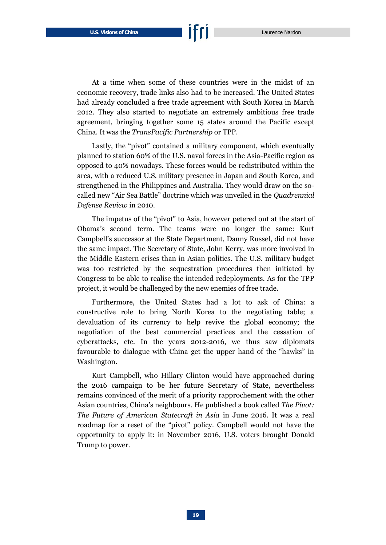At a time when some of these countries were in the midst of an economic recovery, trade links also had to be increased. The United States had already concluded a free trade agreement with South Korea in March 2012. They also started to negotiate an extremely ambitious free trade agreement, bringing together some 15 states around the Pacific except China. It was the *TransPacific Partnership* or TPP.

Lastly, the "pivot" contained a military component, which eventually planned to station 60% of the U.S. naval forces in the Asia-Pacific region as opposed to 40% nowadays. These forces would be redistributed within the area, with a reduced U.S. military presence in Japan and South Korea, and strengthened in the Philippines and Australia. They would draw on the socalled new "Air Sea Battle" doctrine which was unveiled in the *Quadrennial Defense Review* in 2010.

The impetus of the "pivot" to Asia, however petered out at the start of Obama's second term. The teams were no longer the same: Kurt Campbell's successor at the State Department, Danny Russel, did not have the same impact. The Secretary of State, John Kerry, was more involved in the Middle Eastern crises than in Asian politics. The U.S. military budget was too restricted by the sequestration procedures then initiated by Congress to be able to realise the intended redeployments. As for the TPP project, it would be challenged by the new enemies of free trade.

Furthermore, the United States had a lot to ask of China: a constructive role to bring North Korea to the negotiating table; a devaluation of its currency to help revive the global economy; the negotiation of the best commercial practices and the cessation of cyberattacks, etc. In the years 2012-2016, we thus saw diplomats favourable to dialogue with China get the upper hand of the "hawks" in Washington.

Kurt Campbell, who Hillary Clinton would have approached during the 2016 campaign to be her future Secretary of State, nevertheless remains convinced of the merit of a priority rapprochement with the other Asian countries, China's neighbours. He published a book called *The Pivot: The Future of American Statecraft in Asia* in June 2016. It was a real roadmap for a reset of the "pivot" policy. Campbell would not have the opportunity to apply it: in November 2016, U.S. voters brought Donald Trump to power.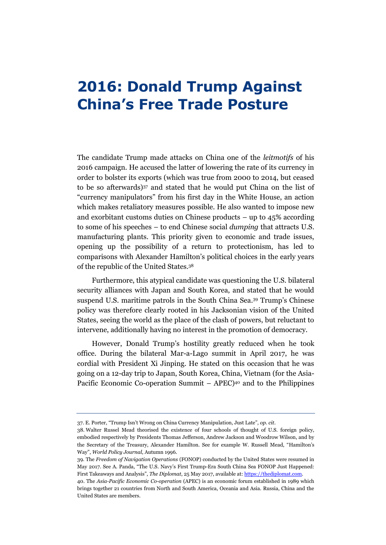## <span id="page-20-0"></span>**2016: Donald Trump Against China's Free Trade Posture**

The candidate Trump made attacks on China one of the *leitmotifs* of his 2016 campaign. He accused the latter of lowering the rate of its currency in order to bolster its exports (which was true from 2000 to 2014, but ceased to be so afterwards) <sup>37</sup> and stated that he would put China on the list of "currency manipulators" from his first day in the White House, an action which makes retaliatory measures possible. He also wanted to impose new and exorbitant customs duties on Chinese products – up to  $45\%$  according to some of his speeches – to end Chinese social *dumping* that attracts U.S. manufacturing plants. This priority given to economic and trade issues, opening up the possibility of a return to protectionism, has led to comparisons with Alexander Hamilton's political choices in the early years of the republic of the United States. 38

Furthermore, this atypical candidate was questioning the U.S. bilateral security alliances with Japan and South Korea, and stated that he would suspend U.S. maritime patrols in the South China Sea. <sup>39</sup> Trump's Chinese policy was therefore clearly rooted in his Jacksonian vision of the United States, seeing the world as the place of the clash of powers, but reluctant to intervene, additionally having no interest in the promotion of democracy.

However, Donald Trump's hostility greatly reduced when he took office. During the bilateral Mar-a-Lago summit in April 2017, he was cordial with President Xi Jinping. He stated on this occasion that he was going on a 12-day trip to Japan, South Korea, China, Vietnam (for the Asia-Pacific Economic Co-operation Summit – APEC) <sup>40</sup> and to the Philippines

<sup>37</sup>. E. Porter, "Trump Isn't Wrong on China Currency Manipulation, Just Late", *op. cit*.

<sup>38.</sup> Walter Russel Mead theorised the existence of four schools of thought of U.S. foreign policy, embodied respectively by Presidents Thomas Jefferson, Andrew Jackson and Woodrow Wilson, and by the Secretary of the Treasury, Alexander Hamilton. See for example W. Russell Mead, "Hamilton's Way", *World Policy Journal*, Autumn 1996.

<sup>39.</sup> The *Freedom of Navigation Operations* (FONOP) conducted by the United States were resumed in May 2017. See A. Panda, "The U.S. Navy's First Trump-Era South China Sea FONOP Just Happened: First Takeaways and Analysis", *The Diplomat*, 25 May 2017, available at: [https://thediplomat.com.](https://thediplomat.com/2017/05/the-trump-administrations-first-south-china-sea-fonop-is-here-first-takeaways-and-analysis/) 

<sup>40.</sup> The *Asia-Pacific Economic Co-operation* (APEC) is an economic forum established in 1989 which brings together 21 countries from North and South America, Oceania and Asia. Russia, China and the United States are members.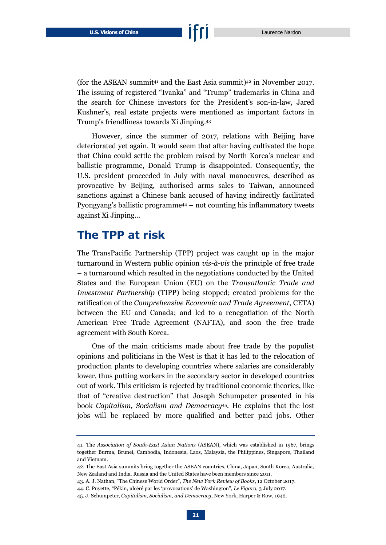(for the ASEAN summit<sup>41</sup> and the East Asia summit)<sup>42</sup> in November 2017. The issuing of registered "Ivanka" and "Trump" trademarks in China and the search for Chinese investors for the President's son-in-law, Jared Kushner's, real estate projects were mentioned as important factors in Trump's friendliness towards Xi Jinping. 43

However, since the summer of 2017, relations with Beijing have deteriorated yet again. It would seem that after having cultivated the hope that China could settle the problem raised by North Korea's nuclear and ballistic programme, Donald Trump is disappointed. Consequently, the U.S. president proceeded in July with naval manoeuvres, described as provocative by Beijing, authorised arms sales to Taiwan, announced sanctions against a Chinese bank accused of having indirectly facilitated Pyongyang's ballistic programme<sup>44</sup> – not counting his inflammatory tweets against Xi Jinping...

#### <span id="page-21-0"></span>**The TPP at risk**

The TransPacific Partnership (TPP) project was caught up in the major turnaround in Western public opinion *vis-à-vis* the principle of free trade – a turnaround which resulted in the negotiations conducted by the United States and the European Union (EU) on the *Transatlantic Trade and Investment Partnership* (TIPP) being stopped; created problems for the ratification of the *Comprehensive Economic and Trade Agreement*, CETA) between the EU and Canada; and led to a renegotiation of the North American Free Trade Agreement (NAFTA), and soon the free trade agreement with South Korea.

One of the main criticisms made about free trade by the populist opinions and politicians in the West is that it has led to the relocation of production plants to developing countries where salaries are considerably lower, thus putting workers in the secondary sector in developed countries out of work. This criticism is rejected by traditional economic theories, like that of "creative destruction" that Joseph Schumpeter presented in his book *Capitalism, Socialism and Democracy*45. He explains that the lost jobs will be replaced by more qualified and better paid jobs. Other

<sup>41.</sup> The *Association of South-East Asian Nations* (ASEAN), which was established in 1967, brings together Burma, Brunei, Cambodia, Indonesia, Laos, Malaysia, the Philippines, Singapore, Thailand and Vietnam.

<sup>42.</sup> The East Asia summits bring together the ASEAN countries, China, Japan, South Korea, Australia, New Zealand and India. Russia and the United States have been members since 2011.

<sup>43</sup>. A. J. Nathan, "The Chinese World Order", *The New York Review of Books*, 12 October 2017.

<sup>44</sup>. C. Puyette, "Pékin, ulcéré par les 'provocations' de Washington", *Le Figaro*, 3 July 2017.

<sup>45.</sup> J. Schumpeter, *Capitalism, Socialism, and Democracy*, New York, Harper & Row, 1942.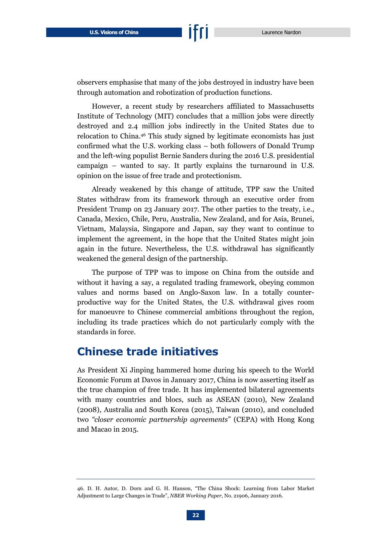observers emphasise that many of the jobs destroyed in industry have been through automation and robotization of production functions.

However, a recent study by researchers affiliated to Massachusetts Institute of Technology (MIT) concludes that a million jobs were directly destroyed and 2.4 million jobs indirectly in the United States due to relocation to China. <sup>46</sup> This study signed by legitimate economists has just confirmed what the U.S. working class – both followers of Donald Trump and the left-wing populist Bernie Sanders during the 2016 U.S. presidential campaign – wanted to say. It partly explains the turnaround in U.S. opinion on the issue of free trade and protectionism.

Already weakened by this change of attitude, TPP saw the United States withdraw from its framework through an executive order from President Trump on 23 January 2017. The other parties to the treaty, i.e., Canada, Mexico, Chile, Peru, Australia, New Zealand, and for Asia, Brunei, Vietnam, Malaysia, Singapore and Japan, say they want to continue to implement the agreement, in the hope that the United States might join again in the future. Nevertheless, the U.S. withdrawal has significantly weakened the general design of the partnership.

The purpose of TPP was to impose on China from the outside and without it having a say, a regulated trading framework, obeying common values and norms based on Anglo-Saxon law. In a totally counterproductive way for the United States, the U.S. withdrawal gives room for manoeuvre to Chinese commercial ambitions throughout the region, including its trade practices which do not particularly comply with the standards in force.

#### <span id="page-22-0"></span>**Chinese trade initiatives**

As President Xi Jinping hammered home during his speech to the World Economic Forum at Davos in January 2017, China is now asserting itself as the true champion of free trade. It has implemented bilateral agreements with many countries and blocs, such as ASEAN (2010), New Zealand (2008), Australia and South Korea (2015), Taiwan (2010), and concluded two *"closer economic partnership agreements*" (CEPA) with Hong Kong and Macao in 2015.

<sup>46.</sup> D. H. Autor, D. Dorn and G. H. Hanson, "The China Shock: Learning from Labor Market Adjustment to Large Changes in Trade", *NBER Working Paper*, No. 21906, January 2016.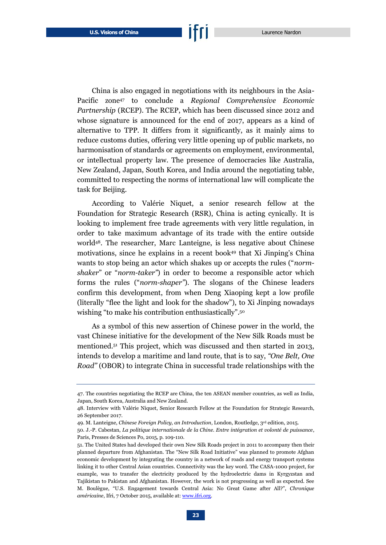China is also engaged in negotiations with its neighbours in the Asia-Pacific zone<sup>47</sup> to conclude a *Regional Comprehensive Economic Partnership* (RCEP). The RCEP, which has been discussed since 2012 and whose signature is announced for the end of 2017, appears as a kind of alternative to TPP. It differs from it significantly, as it mainly aims to reduce customs duties, offering very little opening up of public markets, no harmonisation of standards or agreements on employment, environmental, or intellectual property law. The presence of democracies like Australia, New Zealand, Japan, South Korea, and India around the negotiating table, committed to respecting the norms of international law will complicate the task for Beijing.

According to Valérie Niquet, a senior research fellow at the Foundation for Strategic Research (RSR), China is acting cynically. It is looking to implement free trade agreements with very little regulation, in order to take maximum advantage of its trade with the entire outside world48. The researcher, Marc Lanteigne, is less negative about Chinese motivations, since he explains in a recent book<sup>49</sup> that Xi Jinping's China wants to stop being an actor which shakes up or accepts the rules ("*normshaker*" or "*norm-taker"*) in order to become a responsible actor which forms the rules ("*norm-shaper"*). The slogans of the Chinese leaders confirm this development, from when Deng Xiaoping kept a low profile (literally "flee the light and look for the shadow"), to Xi Jinping nowadays wishing "to make his contribution enthusiastically".<sup>50</sup>

As a symbol of this new assertion of Chinese power in the world, the vast Chinese initiative for the development of the New Silk Roads must be mentioned. <sup>51</sup> This project, which was discussed and then started in 2013, intends to develop a maritime and land route, that is to say, *"One Belt, One Road"* (OBOR) to integrate China in successful trade relationships with the

<sup>47.</sup> The countries negotiating the RCEP are China, the ten ASEAN member countries, as well as India, Japan, South Korea, Australia and New Zealand.

<sup>48.</sup> Interview with Valérie Niquet, Senior Research Fellow at the Foundation for Strategic Research, 26 September 2017.

<sup>49.</sup> M. Lanteigne, *Chinese Foreign Policy, an Introduction*, London, Routledge, 3rd edition, 2015.

<sup>50.</sup> J.-P. Cabestan, *La politique internationale de la Chine. Entre intégration et volonté de puissance*, Paris, Presses de Sciences Po, 2015, p. 109-110.

<sup>51.</sup> The United States had developed their own New Silk Roads project in 2011 to accompany then their planned departure from Afghanistan. The "New Silk Road Initiative" was planned to promote Afghan economic development by integrating the country in a network of roads and energy transport systems linking it to other Central Asian countries. Connectivity was the key word. The CASA-1000 project, for example, was to transfer the electricity produced by the hydroelectric dams in Kyrgyzstan and Tajikistan to Pakistan and Afghanistan. However, the work is not progressing as well as expected. See M. Boulègue, "U.S. Engagement towards Central Asia: No Great Game after All?", *Chronique américaine*, Ifri, 7 October 2015, available at[: www.ifri.org.](http://www.ifri.org/en/publications/editoriaux/chroniques-americaines/us-engagement-towards-central-asia-no-great-game#sthash.oCrz2vlV.dpbs)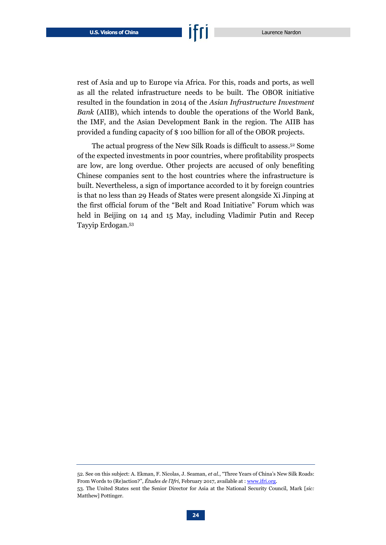rest of Asia and up to Europe via Africa. For this, roads and ports, as well as all the related infrastructure needs to be built. The OBOR initiative resulted in the foundation in 2014 of the *Asian Infrastructure Investment Bank* (AIIB), which intends to double the operations of the World Bank, the IMF, and the Asian Development Bank in the region. The AIIB has provided a funding capacity of \$ 100 billion for all of the OBOR projects.

The actual progress of the New Silk Roads is difficult to assess. <sup>52</sup> Some of the expected investments in poor countries, where profitability prospects are low, are long overdue. Other projects are accused of only benefiting Chinese companies sent to the host countries where the infrastructure is built. Nevertheless, a sign of importance accorded to it by foreign countries is that no less than 29 Heads of States were present alongside Xi Jinping at the first official forum of the "Belt and Road Initiative" Forum which was held in Beijing on 14 and 15 May, including Vladimir Putin and Recep Tayyip Erdogan. 53

<sup>52.</sup> See on this subject: A. Ekman, F. Nicolas, J. Seaman, *et al.*, "Three Years of China's New Silk Roads: From Words to (Re)action?", *Études de l'Ifri*, February 2017, available at [: www.ifri.org.](http://www.ifri.org/en/publications/etudes-de-lifri/three-years-chinas-new-silk-roads-words-reaction#sthash.86xp6AOD.dpbs)  53. The United States sent the Senior Director for Asia at the National Security Council, Mark [*sic:*  Matthew] Pottinger.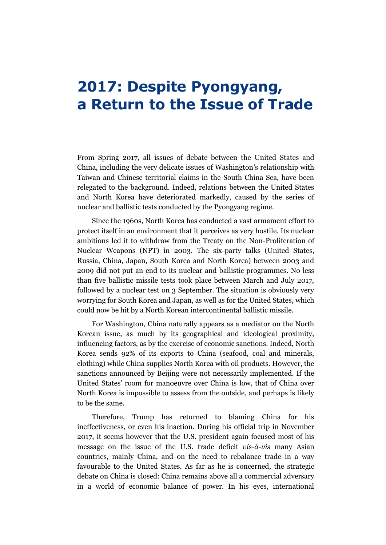## <span id="page-25-0"></span>**2017: Despite Pyongyang, a Return to the Issue of Trade**

From Spring 2017, all issues of debate between the United States and China, including the very delicate issues of Washington's relationship with Taiwan and Chinese territorial claims in the South China Sea, have been relegated to the background. Indeed, relations between the United States and North Korea have deteriorated markedly, caused by the series of nuclear and ballistic tests conducted by the Pyongyang regime.

Since the 1960s, North Korea has conducted a vast armament effort to protect itself in an environment that it perceives as very hostile. Its nuclear ambitions led it to withdraw from the Treaty on the Non-Proliferation of Nuclear Weapons (NPT) in 2003. The six-party talks (United States, Russia, China, Japan, South Korea and North Korea) between 2003 and 2009 did not put an end to its nuclear and ballistic programmes. No less than five ballistic missile tests took place between March and July 2017, followed by a nuclear test on 3 September. The situation is obviously very worrying for South Korea and Japan, as well as for the United States, which could now be hit by a North Korean intercontinental ballistic missile.

For Washington, China naturally appears as a mediator on the North Korean issue, as much by its geographical and ideological proximity, influencing factors, as by the exercise of economic sanctions. Indeed, North Korea sends 92% of its exports to China (seafood, coal and minerals, clothing) while China supplies North Korea with oil products. However, the sanctions announced by Beijing were not necessarily implemented. If the United States' room for manoeuvre over China is low, that of China over North Korea is impossible to assess from the outside, and perhaps is likely to be the same.

Therefore, Trump has returned to blaming China for his ineffectiveness, or even his inaction. During his official trip in November 2017, it seems however that the U.S. president again focused most of his message on the issue of the U.S. trade deficit *vis-à-vis* many Asian countries, mainly China, and on the need to rebalance trade in a way favourable to the United States. As far as he is concerned, the strategic debate on China is closed: China remains above all a commercial adversary in a world of economic balance of power. In his eyes, international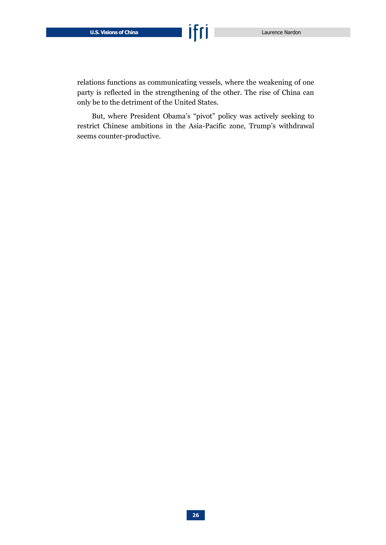relations functions as communicating vessels, where the weakening of one party is reflected in the strengthening of the other. The rise of China can only be to the detriment of the United States.

But, where President Obama's "pivot" policy was actively seeking to restrict Chinese ambitions in the Asia-Pacific zone, Trump's withdrawal seems counter-productive.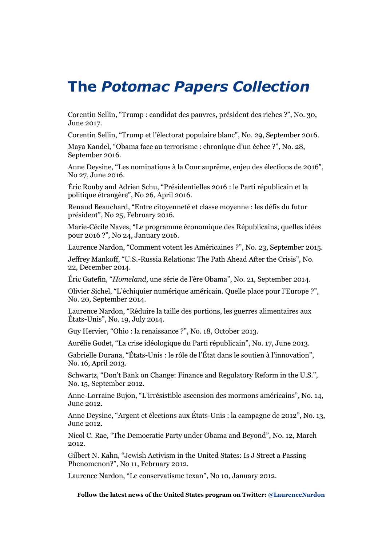### **The** *Potomac Papers Collection*

Corentin Sellin, "Trump : candidat des pauvres, président des riches ?", No. 30, June 2017.

Corentin Sellin, "Trump et l'électorat populaire blanc", No. 29, September 2016.

Maya Kandel, "Obama face au terrorisme : chronique d'un échec ?", No. 28, September 2016.

Anne Deysine, "Les nominations à la Cour suprême, enjeu des élections de 2016", No 27, June 2016.

Éric Rouby and Adrien Schu, "Présidentielles 2016 : le Parti républicain et la politique étrangère", No 26, April 2016.

Renaud Beauchard, "Entre citoyenneté et classe moyenne : les défis du futur président", No 25, February 2016.

Marie-Cécile Naves, "Le programme économique des Républicains, quelles idées pour 2016 ?", No 24, January 2016.

Laurence Nardon, "Comment votent les Américaines ?", No. 23, September 2015.

Jeffrey Mankoff, "U.S.-Russia Relations: The Path Ahead After the Crisis", No. 22, December 2014.

Éric Gatefin, "*Homeland*, une série de l'ère Obama", No. 21, September 2014.

Olivier Sichel, "L'échiquier numérique américain. Quelle place pour l'Europe ?", No. 20, September 2014.

Laurence Nardon, "Réduire la taille des portions, les guerres alimentaires aux États-Unis", No. 19, July 2014.

Guy Hervier, "Ohio : la renaissance ?", No. 18, October 2013.

Aurélie Godet, "La crise idéologique du Parti républicain", No. 17, June 2013.

Gabrielle Durana, "États-Unis : le rôle de l'État dans le soutien à l'innovation", No. 16, April 2013.

Schwartz, "Don't Bank on Change: Finance and Regulatory Reform in the U.S.", No. 15, September 2012.

Anne-Lorraine Bujon, "L'irrésistible ascension des mormons américains", No. 14, June 2012.

Anne Deysine, "Argent et élections aux États-Unis : la campagne de 2012", No. 13, June 2012.

Nicol C. Rae, "The Democratic Party under Obama and Beyond", No. 12, March 2012.

Gilbert N. Kahn, "Jewish Activism in the United States: Is J Street a Passing Phenomenon?", No 11, February 2012.

Laurence Nardon, "Le conservatisme texan", No 10, January 2012.

**Follow the latest news of the United States program on Twitter: @LaurenceNardon**